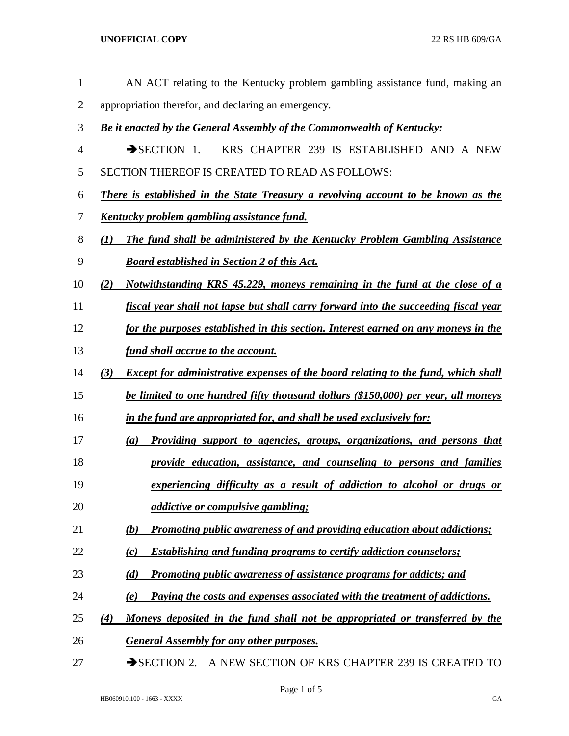**UNOFFICIAL COPY** 22 RS HB 609/GA

- AN ACT relating to the Kentucky problem gambling assistance fund, making an appropriation therefor, and declaring an emergency. *Be it enacted by the General Assembly of the Commonwealth of Kentucky:* SECTION 1. KRS CHAPTER 239 IS ESTABLISHED AND A NEW SECTION THEREOF IS CREATED TO READ AS FOLLOWS: *There is established in the State Treasury a revolving account to be known as the Kentucky problem gambling assistance fund. (1) The fund shall be administered by the Kentucky Problem Gambling Assistance Board established in Section 2 of this Act. (2) Notwithstanding KRS 45.229, moneys remaining in the fund at the close of a fiscal year shall not lapse but shall carry forward into the succeeding fiscal year for the purposes established in this section. Interest earned on any moneys in the fund shall accrue to the account. (3) Except for administrative expenses of the board relating to the fund, which shall be limited to one hundred fifty thousand dollars (\$150,000) per year, all moneys in the fund are appropriated for, and shall be used exclusively for: (a) Providing support to agencies, groups, organizations, and persons that provide education, assistance, and counseling to persons and families experiencing difficulty as a result of addiction to alcohol or drugs or addictive or compulsive gambling; (b) Promoting public awareness of and providing education about addictions; (c) Establishing and funding programs to certify addiction counselors; (d) Promoting public awareness of assistance programs for addicts; and (e) Paying the costs and expenses associated with the treatment of addictions. (4) Moneys deposited in the fund shall not be appropriated or transferred by the General Assembly for any other purposes.*
- 27 SECTION 2. A NEW SECTION OF KRS CHAPTER 239 IS CREATED TO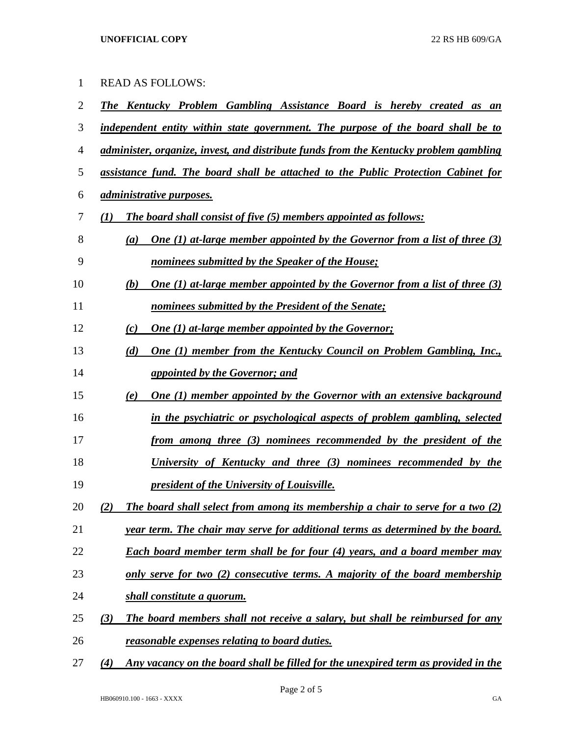READ AS FOLLOWS: *The Kentucky Problem Gambling Assistance Board is hereby created as an independent entity within state government. The purpose of the board shall be to administer, organize, invest, and distribute funds from the Kentucky problem gambling assistance fund. The board shall be attached to the Public Protection Cabinet for administrative purposes. (1) The board shall consist of five (5) members appointed as follows: (a) One (1) at-large member appointed by the Governor from a list of three (3) nominees submitted by the Speaker of the House; (b) One (1) at-large member appointed by the Governor from a list of three (3) nominees submitted by the President of the Senate; (c) One (1) at-large member appointed by the Governor; (d) One (1) member from the Kentucky Council on Problem Gambling, Inc., appointed by the Governor; and (e) One (1) member appointed by the Governor with an extensive background in the psychiatric or psychological aspects of problem gambling, selected from among three (3) nominees recommended by the president of the University of Kentucky and three (3) nominees recommended by the president of the University of Louisville. (2) The board shall select from among its membership a chair to serve for a two (2) year term. The chair may serve for additional terms as determined by the board. Each board member term shall be for four (4) years, and a board member may only serve for two (2) consecutive terms. A majority of the board membership shall constitute a quorum. (3) The board members shall not receive a salary, but shall be reimbursed for any reasonable expenses relating to board duties.*

*(4) Any vacancy on the board shall be filled for the unexpired term as provided in the*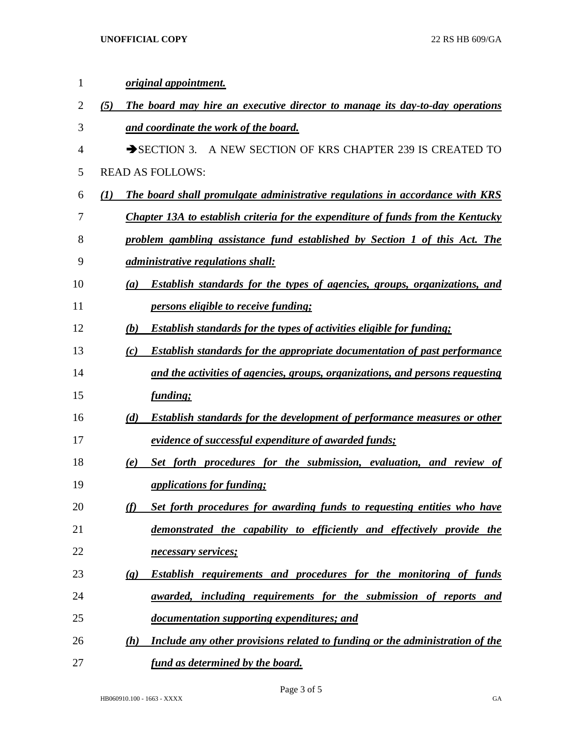| 1  | <i>original appointment.</i>                                                                           |
|----|--------------------------------------------------------------------------------------------------------|
| 2  | The board may hire an executive director to manage its day-to-day operations<br>(5)                    |
| 3  | and coordinate the work of the board.                                                                  |
| 4  | $\rightarrow$ SECTION 3.<br>A NEW SECTION OF KRS CHAPTER 239 IS CREATED TO                             |
| 5  | <b>READ AS FOLLOWS:</b>                                                                                |
| 6  | The board shall promulgate administrative regulations in accordance with KRS<br>(1)                    |
| 7  | Chapter 13A to establish criteria for the expenditure of funds from the Kentucky                       |
| 8  | problem gambling assistance fund established by Section 1 of this Act. The                             |
| 9  | <i>administrative regulations shall:</i>                                                               |
| 10 | <b>Establish standards for the types of agencies, groups, organizations, and</b><br>(a)                |
| 11 | <i><u><b>persons eligible to receive funding;</b></u></i>                                              |
| 12 | (b)<br><b>Establish standards for the types of activities eligible for funding;</b>                    |
| 13 | <b>Establish standards for the appropriate documentation of past performance</b><br>(c)                |
| 14 | and the activities of agencies, groups, organizations, and persons requesting                          |
| 15 | funding;                                                                                               |
| 16 | <b>Establish standards for the development of performance measures or other</b><br>(d)                 |
| 17 | evidence of successful expenditure of awarded funds;                                                   |
| 18 | Set forth procedures for the submission, evaluation,<br>(e)<br>and review of                           |
| 19 | <i><u><b>applications for funding;</b></u></i>                                                         |
| 20 | (f)<br>Set forth procedures for awarding funds to requesting entities who have                         |
| 21 | demonstrated the capability to efficiently and effectively provide the                                 |
| 22 | necessary services;                                                                                    |
| 23 | <b>Establish requirements and procedures for the monitoring of funds</b><br>$\left( \mathbf{g}\right)$ |
| 24 | awarded, including requirements for the submission of reports and                                      |
| 25 | documentation supporting expenditures; and                                                             |
| 26 | Include any other provisions related to funding or the administration of the<br>(h)                    |
| 27 | <u>fund as determined by the board.</u>                                                                |

Page 3 of 5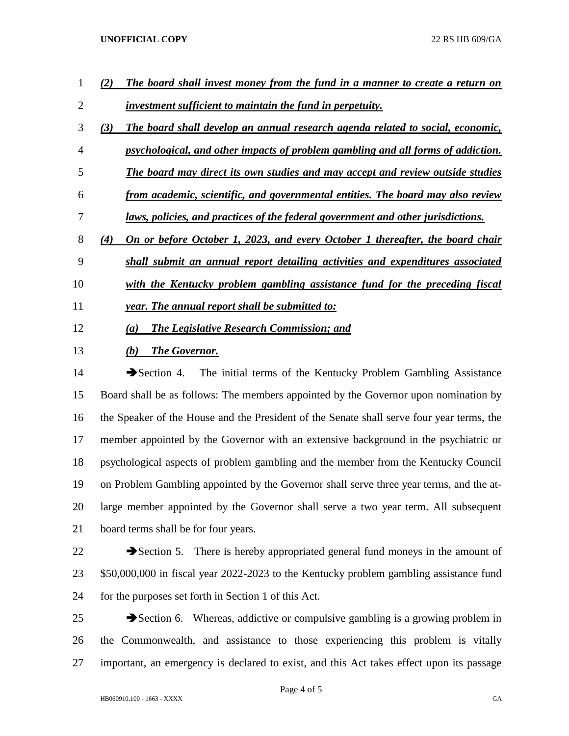## **UNOFFICIAL COPY** 22 RS HB 609/GA

| 1  | (2) | The board shall invest money from the fund in a manner to create a return on     |
|----|-----|----------------------------------------------------------------------------------|
| 2  |     | <i>investment sufficient to maintain the fund in perpetuity.</i>                 |
| 3  | (3) | The board shall develop an annual research agenda related to social, economic,   |
| 4  |     | psychological, and other impacts of problem gambling and all forms of addiction. |
| 5  |     | The board may direct its own studies and may accept and review outside studies   |
| 6  |     | from academic, scientific, and governmental entities. The board may also review  |
| 7  |     | laws, policies, and practices of the federal government and other jurisdictions. |
| 8  | (4) | On or before October 1, 2023, and every October 1 thereafter, the board chair    |
| 9  |     | shall submit an annual report detailing activities and expenditures associated   |
| 10 |     | with the Kentucky problem gambling assistance fund for the preceding fiscal      |
| 11 |     | year. The annual report shall be submitted to:                                   |
| 12 |     | <b>The Legislative Research Commission; and</b><br>(a)                           |
| 13 |     | (b)<br><b>The Governor.</b>                                                      |

14 Section 4. The initial terms of the Kentucky Problem Gambling Assistance Board shall be as follows: The members appointed by the Governor upon nomination by the Speaker of the House and the President of the Senate shall serve four year terms, the member appointed by the Governor with an extensive background in the psychiatric or psychological aspects of problem gambling and the member from the Kentucky Council on Problem Gambling appointed by the Governor shall serve three year terms, and the at- large member appointed by the Governor shall serve a two year term. All subsequent board terms shall be for four years.

22  $\rightarrow$  Section 5. There is hereby appropriated general fund moneys in the amount of \$50,000,000 in fiscal year 2022-2023 to the Kentucky problem gambling assistance fund for the purposes set forth in Section 1 of this Act.

 Section 6. Whereas, addictive or compulsive gambling is a growing problem in the Commonwealth, and assistance to those experiencing this problem is vitally important, an emergency is declared to exist, and this Act takes effect upon its passage